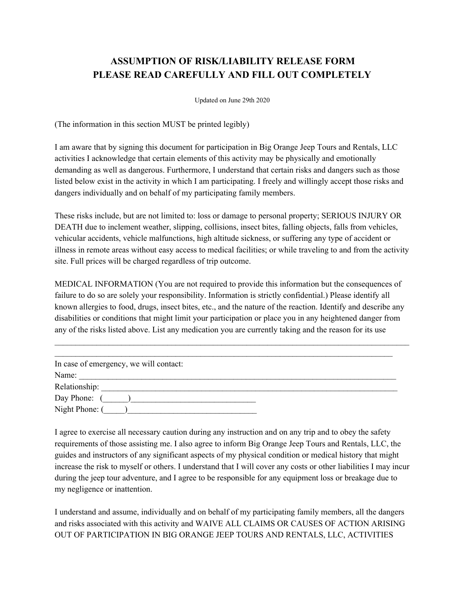## **ASSUMPTION OF RISK/LIABILITY RELEASE FORM PLEASE READ CAREFULLY AND FILL OUT COMPLETELY**

Updated on June 29th 2020

(The information in this section MUST be printed legibly)

I am aware that by signing this document for participation in Big Orange Jeep Tours and Rentals, LLC activities I acknowledge that certain elements of this activity may be physically and emotionally demanding as well as dangerous. Furthermore, I understand that certain risks and dangers such as those listed below exist in the activity in which I am participating. I freely and willingly accept those risks and dangers individually and on behalf of my participating family members.

These risks include, but are not limited to: loss or damage to personal property; SERIOUS INJURY OR DEATH due to inclement weather, slipping, collisions, insect bites, falling objects, falls from vehicles, vehicular accidents, vehicle malfunctions, high altitude sickness, or suffering any type of accident or illness in remote areas without easy access to medical facilities; or while traveling to and from the activity site. Full prices will be charged regardless of trip outcome.

MEDICAL INFORMATION (You are not required to provide this information but the consequences of failure to do so are solely your responsibility. Information is strictly confidential.) Please identify all known allergies to food, drugs, insect bites, etc., and the nature of the reaction. Identify and describe any disabilities or conditions that might limit your participation or place you in any heightened danger from any of the risks listed above. List any medication you are currently taking and the reason for its use

 $\mathcal{L}_\text{max} = \mathcal{L}_\text{max} = \mathcal{L}_\text{max} = \mathcal{L}_\text{max} = \mathcal{L}_\text{max} = \mathcal{L}_\text{max} = \mathcal{L}_\text{max} = \mathcal{L}_\text{max} = \mathcal{L}_\text{max} = \mathcal{L}_\text{max} = \mathcal{L}_\text{max} = \mathcal{L}_\text{max} = \mathcal{L}_\text{max} = \mathcal{L}_\text{max} = \mathcal{L}_\text{max} = \mathcal{L}_\text{max} = \mathcal{L}_\text{max} = \mathcal{L}_\text{max} = \mathcal{$ 

| In case of emergency, we will contact: |  |
|----------------------------------------|--|
| Name:                                  |  |
|                                        |  |
| $Day Phone:$ ( )                       |  |
| Night Phone: (                         |  |

I agree to exercise all necessary caution during any instruction and on any trip and to obey the safety requirements of those assisting me. I also agree to inform Big Orange Jeep Tours and Rentals, LLC, the guides and instructors of any significant aspects of my physical condition or medical history that might increase the risk to myself or others. I understand that I will cover any costs or other liabilities I may incur during the jeep tour adventure, and I agree to be responsible for any equipment loss or breakage due to my negligence or inattention.

I understand and assume, individually and on behalf of my participating family members, all the dangers and risks associated with this activity and WAIVE ALL CLAIMS OR CAUSES OF ACTION ARISING OUT OF PARTICIPATION IN BIG ORANGE JEEP TOURS AND RENTALS, LLC, ACTIVITIES